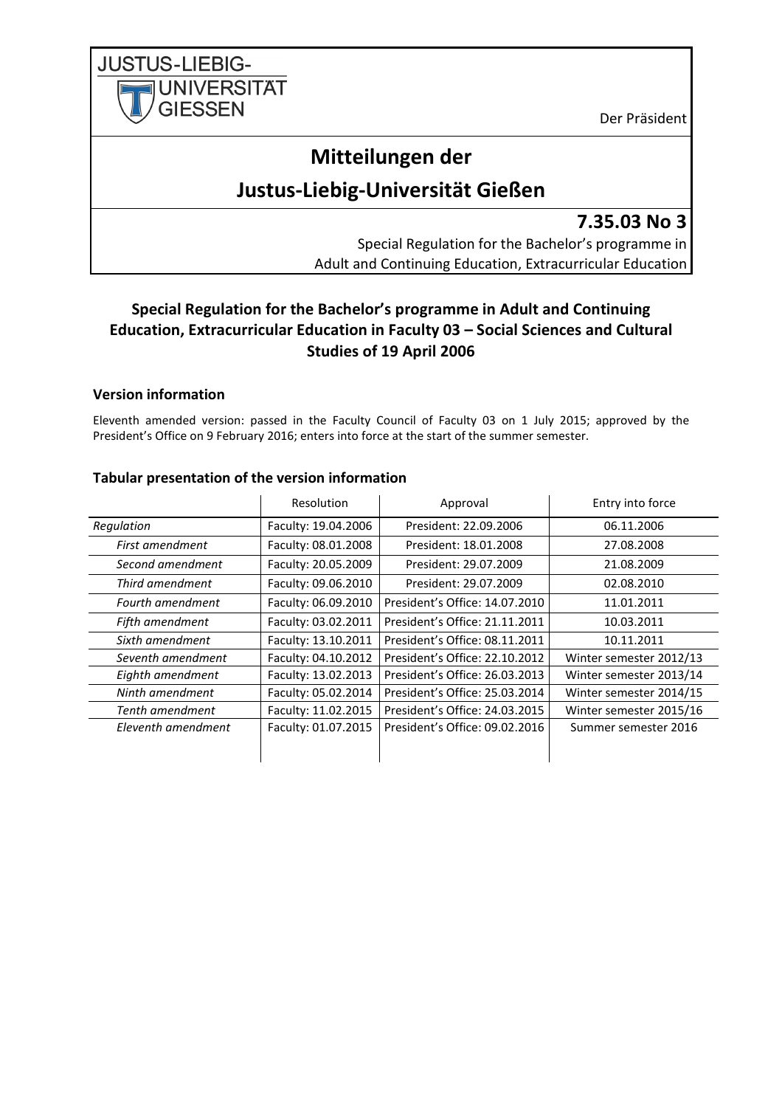**JUSTUS-LIEBIG-UNIVERSITAT GIESSEN** 

Der Präsident

# **Mitteilungen der**

# **Justus-Liebig-Universität Gießen**

**7.35.03 No 3**

Special Regulation for the Bachelor's programme in Adult and Continuing Education, Extracurricular Education

# **Special Regulation for the Bachelor's programme in Adult and Continuing Education, Extracurricular Education in Faculty 03 – Social Sciences and Cultural Studies of 19 April 2006**

# **Version information**

Eleventh amended version: passed in the Faculty Council of Faculty 03 on 1 July 2015; approved by the President's Office on 9 February 2016; enters into force at the start of the summer semester.

|                         | Resolution          | Approval                       | Entry into force        |
|-------------------------|---------------------|--------------------------------|-------------------------|
| Regulation              | Faculty: 19.04.2006 | President: 22.09.2006          | 06.11.2006              |
| First amendment         | Faculty: 08.01.2008 | President: 18.01.2008          | 27.08.2008              |
| Second amendment        | Faculty: 20.05.2009 | President: 29.07.2009          | 21.08.2009              |
| Third amendment         | Faculty: 09.06.2010 | President: 29.07.2009          | 02.08.2010              |
| <b>Fourth amendment</b> | Faculty: 06.09.2010 | President's Office: 14.07.2010 | 11.01.2011              |
| Fifth amendment         | Faculty: 03.02.2011 | President's Office: 21.11.2011 | 10.03.2011              |
| Sixth amendment         | Faculty: 13.10.2011 | President's Office: 08.11.2011 | 10.11.2011              |
| Seventh amendment       | Faculty: 04.10.2012 | President's Office: 22.10.2012 | Winter semester 2012/13 |
| Eighth amendment        | Faculty: 13.02.2013 | President's Office: 26.03.2013 | Winter semester 2013/14 |
| Ninth amendment         | Faculty: 05.02.2014 | President's Office: 25.03.2014 | Winter semester 2014/15 |
| Tenth amendment         | Faculty: 11.02.2015 | President's Office: 24.03.2015 | Winter semester 2015/16 |
| Eleventh amendment      | Faculty: 01.07.2015 | President's Office: 09.02.2016 | Summer semester 2016    |
|                         |                     |                                |                         |

#### **Tabular presentation of the version information**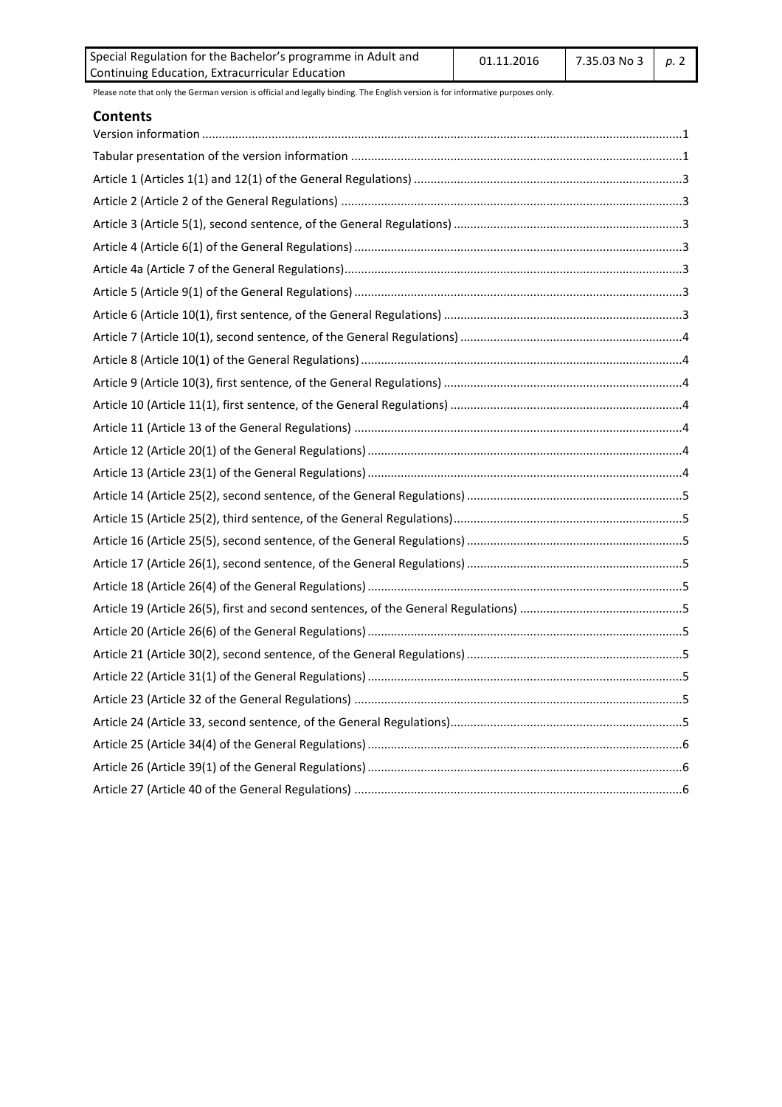| Special Regulation for the Bachelor's programme in Adult and | 01.11.2016 | $\mid$ 7.35.03 No 3 $\mid$ p. 2 |  |
|--------------------------------------------------------------|------------|---------------------------------|--|
| Continuing Education, Extracurricular Education              |            |                                 |  |

#### **Contents**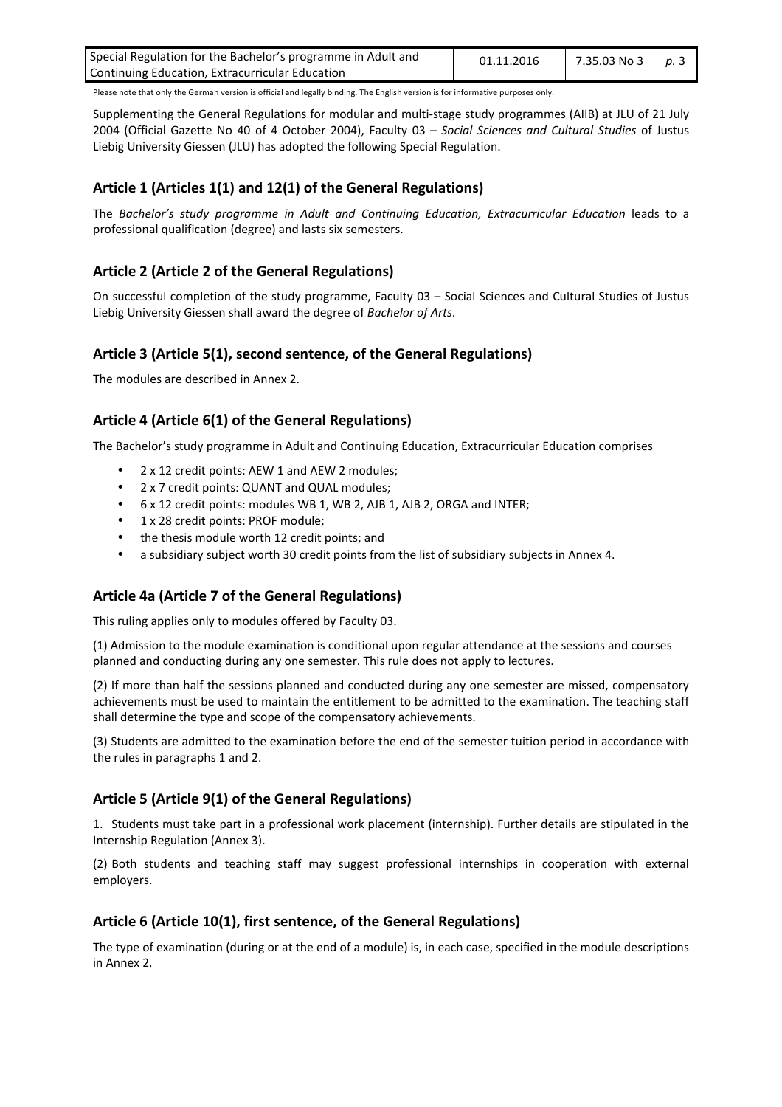| Special Regulation for the Bachelor's programme in Adult and | 01.11.2016 | $\mid$ 7.35.03 No 3 $\mid$ p.3 |  |
|--------------------------------------------------------------|------------|--------------------------------|--|
| Continuing Education, Extracurricular Education              |            |                                |  |

Supplementing the General Regulations for modular and multi-stage study programmes (AIIB) at JLU of 21 July 2004 (Official Gazette No 40 of 4 October 2004), Faculty 03 – *Social Sciences and Cultural Studies* of Justus Liebig University Giessen (JLU) has adopted the following Special Regulation.

# **Article 1 (Articles 1(1) and 12(1) of the General Regulations)**

The *Bachelor's study programme in Adult and Continuing Education, Extracurricular Education* leads to a professional qualification (degree) and lasts six semesters.

# **Article 2 (Article 2 of the General Regulations)**

On successful completion of the study programme, Faculty 03 – Social Sciences and Cultural Studies of Justus Liebig University Giessen shall award the degree of *Bachelor of Arts*.

#### **Article 3 (Article 5(1), second sentence, of the General Regulations)**

The modules are described in Annex 2.

# **Article 4 (Article 6(1) of the General Regulations)**

The Bachelor's study programme in Adult and Continuing Education, Extracurricular Education comprises

- 2 x 12 credit points: AEW 1 and AEW 2 modules;
- 2 x 7 credit points: QUANT and QUAL modules;
- 6 x 12 credit points: modules WB 1, WB 2, AJB 1, AJB 2, ORGA and INTER;
- 1 x 28 credit points: PROF module;
- the thesis module worth 12 credit points; and
- a subsidiary subject worth 30 credit points from the list of subsidiary subjects in Annex 4.

#### **Article 4a (Article 7 of the General Regulations)**

This ruling applies only to modules offered by Faculty 03.

(1) Admission to the module examination is conditional upon regular attendance at the sessions and courses planned and conducting during any one semester. This rule does not apply to lectures.

(2) If more than half the sessions planned and conducted during any one semester are missed, compensatory achievements must be used to maintain the entitlement to be admitted to the examination. The teaching staff shall determine the type and scope of the compensatory achievements.

(3) Students are admitted to the examination before the end of the semester tuition period in accordance with the rules in paragraphs 1 and 2.

#### **Article 5 (Article 9(1) of the General Regulations)**

1. Students must take part in a professional work placement (internship). Further details are stipulated in the Internship Regulation (Annex 3).

(2) Both students and teaching staff may suggest professional internships in cooperation with external employers.

#### **Article 6 (Article 10(1), first sentence, of the General Regulations)**

The type of examination (during or at the end of a module) is, in each case, specified in the module descriptions in Annex 2.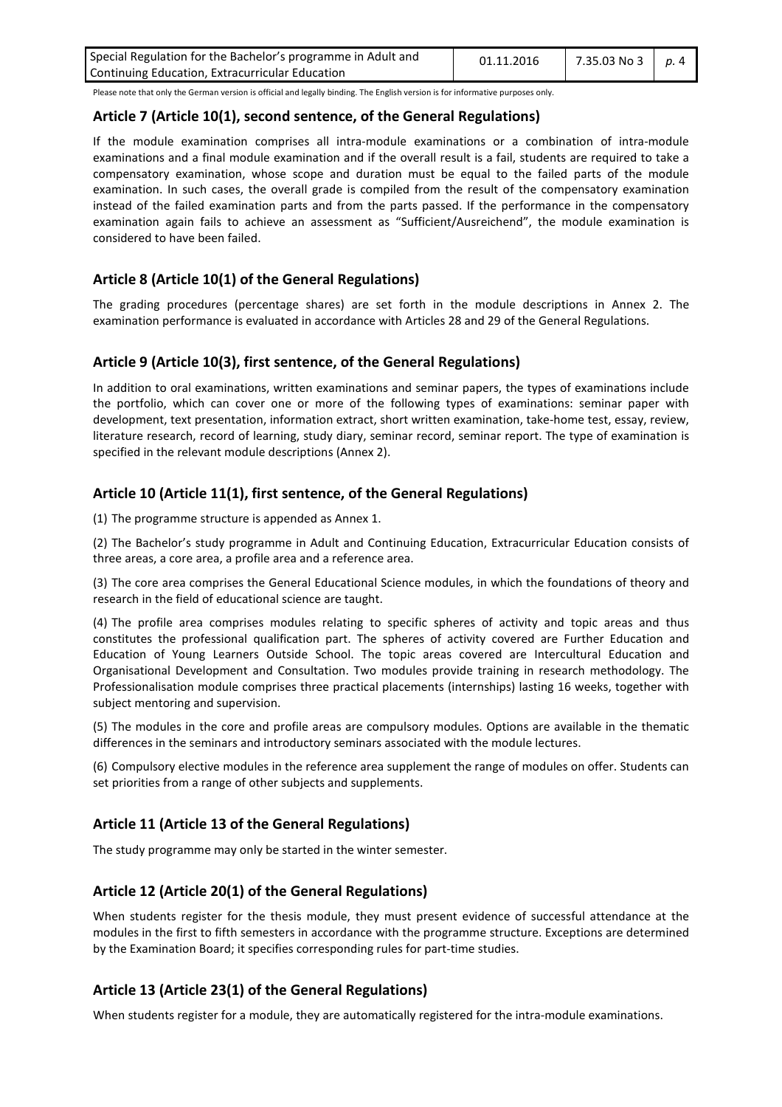| Special Regulation for the Bachelor's programme in Adult and | 01.11.2016 | 7.35.03 No 3   p. 4 |  |
|--------------------------------------------------------------|------------|---------------------|--|
| Continuing Education, Extracurricular Education              |            |                     |  |

#### **Article 7 (Article 10(1), second sentence, of the General Regulations)**

If the module examination comprises all intra-module examinations or a combination of intra-module examinations and a final module examination and if the overall result is a fail, students are required to take a compensatory examination, whose scope and duration must be equal to the failed parts of the module examination. In such cases, the overall grade is compiled from the result of the compensatory examination instead of the failed examination parts and from the parts passed. If the performance in the compensatory examination again fails to achieve an assessment as "Sufficient/Ausreichend", the module examination is considered to have been failed.

# **Article 8 (Article 10(1) of the General Regulations)**

The grading procedures (percentage shares) are set forth in the module descriptions in Annex 2. The examination performance is evaluated in accordance with Articles 28 and 29 of the General Regulations.

#### **Article 9 (Article 10(3), first sentence, of the General Regulations)**

In addition to oral examinations, written examinations and seminar papers, the types of examinations include the portfolio, which can cover one or more of the following types of examinations: seminar paper with development, text presentation, information extract, short written examination, take-home test, essay, review, literature research, record of learning, study diary, seminar record, seminar report. The type of examination is specified in the relevant module descriptions (Annex 2).

#### **Article 10 (Article 11(1), first sentence, of the General Regulations)**

(1) The programme structure is appended as Annex 1.

(2) The Bachelor's study programme in Adult and Continuing Education, Extracurricular Education consists of three areas, a core area, a profile area and a reference area.

(3) The core area comprises the General Educational Science modules, in which the foundations of theory and research in the field of educational science are taught.

(4) The profile area comprises modules relating to specific spheres of activity and topic areas and thus constitutes the professional qualification part. The spheres of activity covered are Further Education and Education of Young Learners Outside School. The topic areas covered are Intercultural Education and Organisational Development and Consultation. Two modules provide training in research methodology. The Professionalisation module comprises three practical placements (internships) lasting 16 weeks, together with subject mentoring and supervision.

(5) The modules in the core and profile areas are compulsory modules. Options are available in the thematic differences in the seminars and introductory seminars associated with the module lectures.

(6) Compulsory elective modules in the reference area supplement the range of modules on offer. Students can set priorities from a range of other subjects and supplements.

#### **Article 11 (Article 13 of the General Regulations)**

The study programme may only be started in the winter semester.

#### **Article 12 (Article 20(1) of the General Regulations)**

When students register for the thesis module, they must present evidence of successful attendance at the modules in the first to fifth semesters in accordance with the programme structure. Exceptions are determined by the Examination Board; it specifies corresponding rules for part-time studies.

#### **Article 13 (Article 23(1) of the General Regulations)**

When students register for a module, they are automatically registered for the intra-module examinations.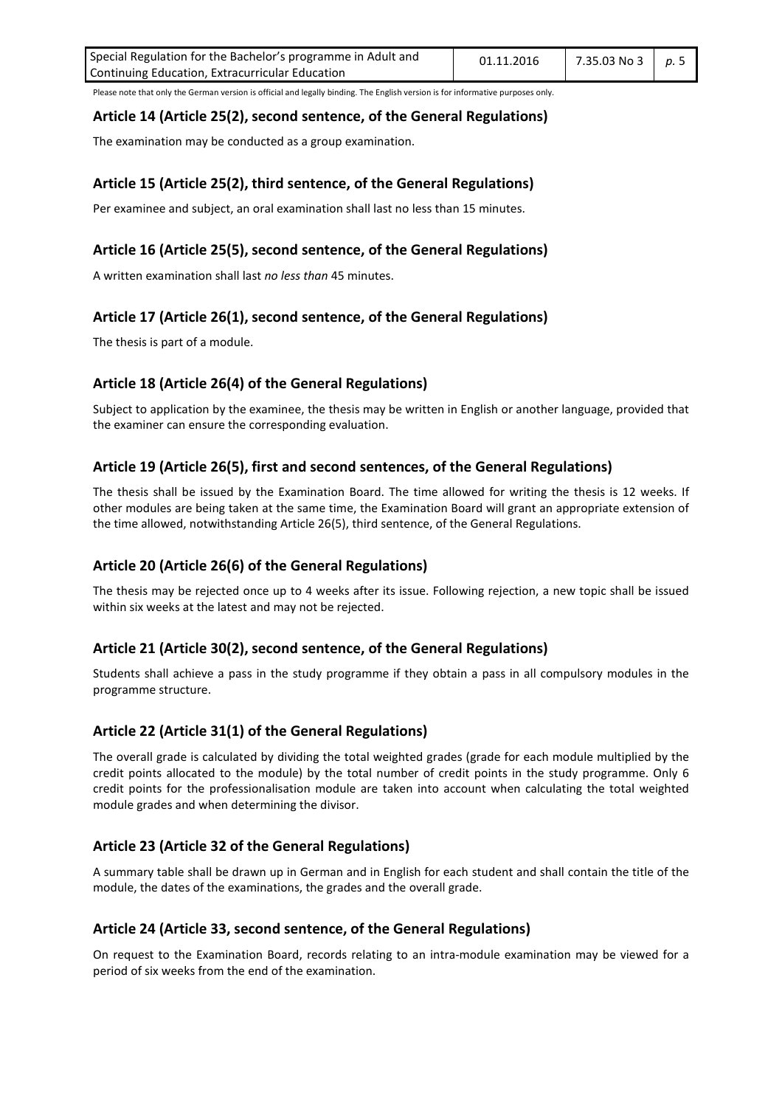| Special Regulation for the Bachelor's programme in Adult and | 01.11.2016 | 7.35.03 No 3   p. 5 |  |
|--------------------------------------------------------------|------------|---------------------|--|
| Continuing Education, Extracurricular Education              |            |                     |  |

#### **Article 14 (Article 25(2), second sentence, of the General Regulations)**

The examination may be conducted as a group examination.

# **Article 15 (Article 25(2), third sentence, of the General Regulations)**

Per examinee and subject, an oral examination shall last no less than 15 minutes.

# **Article 16 (Article 25(5), second sentence, of the General Regulations)**

A written examination shall last *no less than* 45 minutes.

# **Article 17 (Article 26(1), second sentence, of the General Regulations)**

The thesis is part of a module.

#### **Article 18 (Article 26(4) of the General Regulations)**

Subject to application by the examinee, the thesis may be written in English or another language, provided that the examiner can ensure the corresponding evaluation.

# **Article 19 (Article 26(5), first and second sentences, of the General Regulations)**

The thesis shall be issued by the Examination Board. The time allowed for writing the thesis is 12 weeks. If other modules are being taken at the same time, the Examination Board will grant an appropriate extension of the time allowed, notwithstanding Article 26(5), third sentence, of the General Regulations.

#### **Article 20 (Article 26(6) of the General Regulations)**

The thesis may be rejected once up to 4 weeks after its issue. Following rejection, a new topic shall be issued within six weeks at the latest and may not be rejected.

#### **Article 21 (Article 30(2), second sentence, of the General Regulations)**

Students shall achieve a pass in the study programme if they obtain a pass in all compulsory modules in the programme structure.

#### **Article 22 (Article 31(1) of the General Regulations)**

The overall grade is calculated by dividing the total weighted grades (grade for each module multiplied by the credit points allocated to the module) by the total number of credit points in the study programme. Only 6 credit points for the professionalisation module are taken into account when calculating the total weighted module grades and when determining the divisor.

#### **Article 23 (Article 32 of the General Regulations)**

A summary table shall be drawn up in German and in English for each student and shall contain the title of the module, the dates of the examinations, the grades and the overall grade.

#### **Article 24 (Article 33, second sentence, of the General Regulations)**

On request to the Examination Board, records relating to an intra-module examination may be viewed for a period of six weeks from the end of the examination.